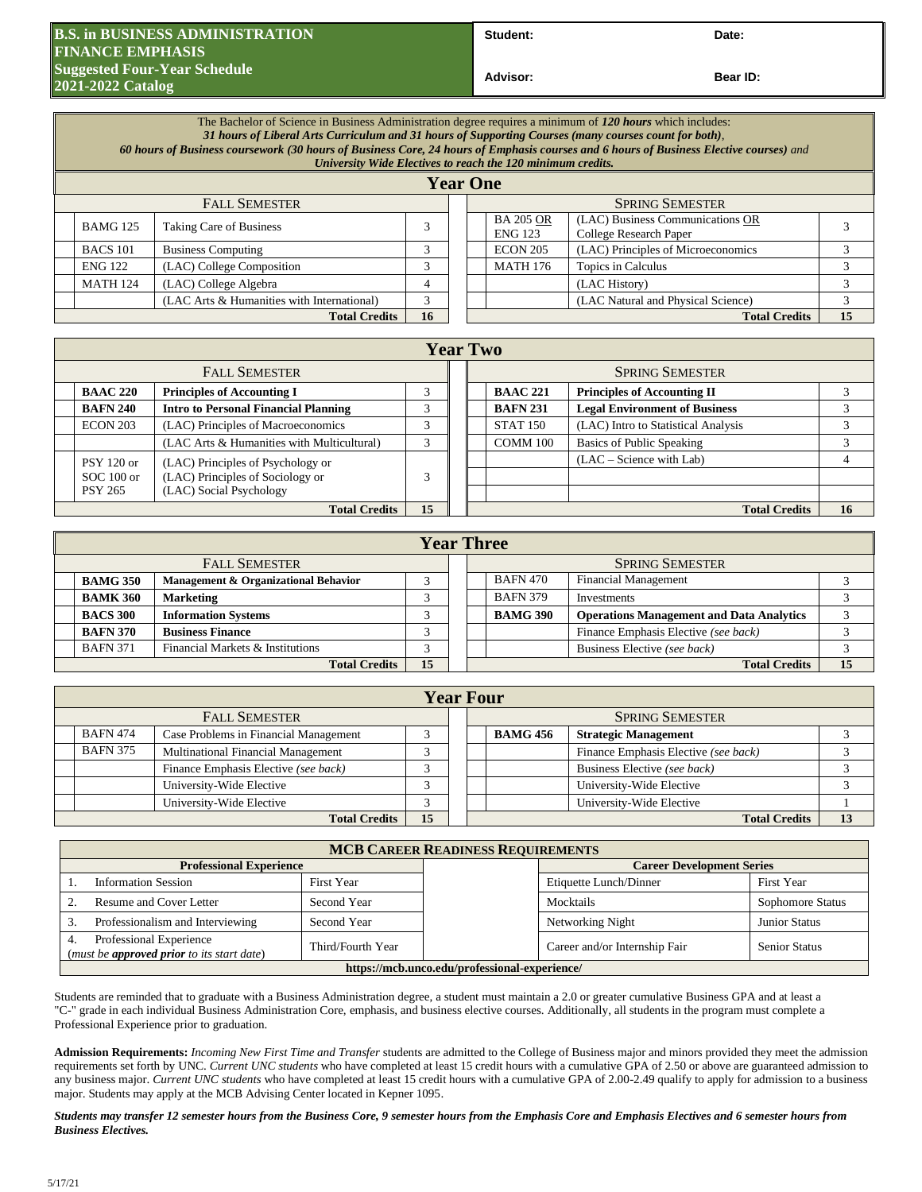## **B.S. in BUSINESS ADMINISTRATION FINANCE EMPHASIS Suggested Four-Year Schedule Contract Contract Contract Contract Contract Contract Contract Contract Contract Contract Contract Contract Contract Contract Contract Contract Contract Contract Contract Contract Contract C 2021-2022 Catalog**

Student: Date:

**Bear ID:** 

The Bachelor of Science in Business Administration degree requires a minimum of *120 hours* which includes: *31 hours of Liberal Arts Curriculum and 31 hours of Supporting Courses (many courses count for both)*, *60 hours of Business coursework (30 hours of Business Core, 24 hours of Emphasis courses and 6 hours of Business Elective courses) and University Wide Electives to reach the 120 minimum credits.* **Year One** FALL SEMESTER SPRING SEMESTER BAMG 125 Taking Care of Business 3 BA 205 OR ENG 123 (LAC) Business Communications OR  $\text{College Research Paper} \begin{array}{|l|l|} \hline 3 \end{array}$ BACS 101 Business Computing 3 3 ECON 205 (LAC) Principles of Microeconomics 3 ENG 122 (LAC) College Composition 3 3 MATH 176 Topics in Calculus 3 3 MATH 124 (LAC) College Algebra  $\begin{array}{|c|c|c|c|c|c|c|c|c|} \hline \end{array}$  4 (LAC History) 3 (LAC Arts & Humanities with International) 3 (LAC Natural and Physical Science) 3 **Total Credits 16 Total Credits 15 Total Credits 15** 

| <b>Year Two</b>                                     |                                                                                                  |   |  |  |                        |                                      |    |
|-----------------------------------------------------|--------------------------------------------------------------------------------------------------|---|--|--|------------------------|--------------------------------------|----|
| <b>FALL SEMESTER</b>                                |                                                                                                  |   |  |  | <b>SPRING SEMESTER</b> |                                      |    |
| <b>BAAC 220</b>                                     | <b>Principles of Accounting I</b>                                                                |   |  |  | <b>BAAC 221</b>        | <b>Principles of Accounting II</b>   |    |
| <b>BAFN 240</b>                                     | <b>Intro to Personal Financial Planning</b>                                                      |   |  |  | <b>BAFN 231</b>        | <b>Legal Environment of Business</b> |    |
| <b>ECON 203</b>                                     | (LAC) Principles of Macroeconomics                                                               |   |  |  | <b>STAT 150</b>        | (LAC) Intro to Statistical Analysis  |    |
|                                                     | (LAC Arts & Humanities with Multicultural)                                                       | 3 |  |  | COMM 100               | <b>Basics of Public Speaking</b>     |    |
| <b>PSY 120 or</b><br>$SOC 100$ or<br><b>PSY 265</b> | (LAC) Principles of Psychology or<br>(LAC) Principles of Sociology or<br>(LAC) Social Psychology | 3 |  |  |                        | $(LAC - Science with Lab)$           |    |
| <b>Total Credits</b>                                |                                                                                                  |   |  |  |                        | <b>Total Credits</b>                 | 16 |

|                      | <b>Year Three</b>          |                                      |  |  |  |                        |                                                 |    |  |
|----------------------|----------------------------|--------------------------------------|--|--|--|------------------------|-------------------------------------------------|----|--|
| <b>FALL SEMESTER</b> |                            |                                      |  |  |  | <b>SPRING SEMESTER</b> |                                                 |    |  |
|                      | <b>BAMG 350</b>            | Management & Organizational Behavior |  |  |  | <b>BAFN 470</b>        | <b>Financial Management</b>                     |    |  |
|                      | <b>BAMK 360</b>            | <b>Marketing</b>                     |  |  |  | <b>BAFN 379</b>        | Investments                                     |    |  |
|                      | <b>BACS 300</b>            | <b>Information Systems</b>           |  |  |  | <b>BAMG 390</b>        | <b>Operations Management and Data Analytics</b> |    |  |
|                      | <b>BAFN 370</b>            | <b>Business Finance</b>              |  |  |  |                        | Finance Emphasis Elective (see back)            |    |  |
|                      | <b>BAFN 371</b>            | Financial Markets & Institutions     |  |  |  |                        | Business Elective (see back)                    |    |  |
|                      | 15<br><b>Total Credits</b> |                                      |  |  |  |                        | <b>Total Credits</b>                            | 15 |  |

|                                                          | <b>Year Four</b>           |                                      |  |  |                        |                             |                                      |  |  |
|----------------------------------------------------------|----------------------------|--------------------------------------|--|--|------------------------|-----------------------------|--------------------------------------|--|--|
| <b>FALL SEMESTER</b>                                     |                            |                                      |  |  | <b>SPRING SEMESTER</b> |                             |                                      |  |  |
| <b>BAFN 474</b><br>Case Problems in Financial Management |                            |                                      |  |  | <b>BAMG 456</b>        | <b>Strategic Management</b> |                                      |  |  |
|                                                          | <b>BAFN 375</b>            | Multinational Financial Management   |  |  |                        |                             | Finance Emphasis Elective (see back) |  |  |
|                                                          |                            | Finance Emphasis Elective (see back) |  |  |                        |                             | Business Elective (see back)         |  |  |
| University-Wide Elective                                 |                            |                                      |  |  |                        | University-Wide Elective    |                                      |  |  |
|                                                          |                            | University-Wide Elective             |  |  |                        |                             | University-Wide Elective             |  |  |
|                                                          | 15<br><b>Total Credits</b> |                                      |  |  |                        |                             | <b>Total Credits</b>                 |  |  |

| <b>MCB CAREER READINESS REQUIREMENTS</b>                                                                                              |                               |                      |                                  |                      |  |  |  |
|---------------------------------------------------------------------------------------------------------------------------------------|-------------------------------|----------------------|----------------------------------|----------------------|--|--|--|
| <b>Professional Experience</b>                                                                                                        |                               |                      | <b>Career Development Series</b> |                      |  |  |  |
| <b>Information Session</b><br>First Year<br>Resume and Cover Letter<br>Second Year<br>Professionalism and Interviewing<br>Second Year |                               |                      | Etiquette Lunch/Dinner           | First Year           |  |  |  |
|                                                                                                                                       |                               |                      | Mocktails                        | Sophomore Status     |  |  |  |
|                                                                                                                                       |                               |                      | Networking Night                 | <b>Junior Status</b> |  |  |  |
| Professional Experience<br>(must be <b>approved prior</b> to its start date)                                                          | Career and/or Internship Fair | <b>Senior Status</b> |                                  |                      |  |  |  |
| https://mcb.unco.edu/professional-experience/                                                                                         |                               |                      |                                  |                      |  |  |  |

Students are reminded that to graduate with a Business Administration degree, a student must maintain a 2.0 or greater cumulative Business GPA and at least a "C-" grade in each individual Business Administration Core, emphasis, and business elective courses. Additionally, all students in the program must complete a Professional Experience prior to graduation.

**Admission Requirements:** *Incoming New First Time and Transfer* students are admitted to the College of Business major and minors provided they meet the admission requirements set forth by UNC. *Current UNC students* who have completed at least 15 credit hours with a cumulative GPA of 2.50 or above are guaranteed admission to any business major. *Current UNC students* who have completed at least 15 credit hours with a cumulative GPA of 2.00-2.49 qualify to apply for admission to a business major. Students may apply at the MCB Advising Center located in Kepner 1095.

*Students may transfer 12 semester hours from the Business Core, 9 semester hours from the Emphasis Core and Emphasis Electives and 6 semester hours from Business Electives.*